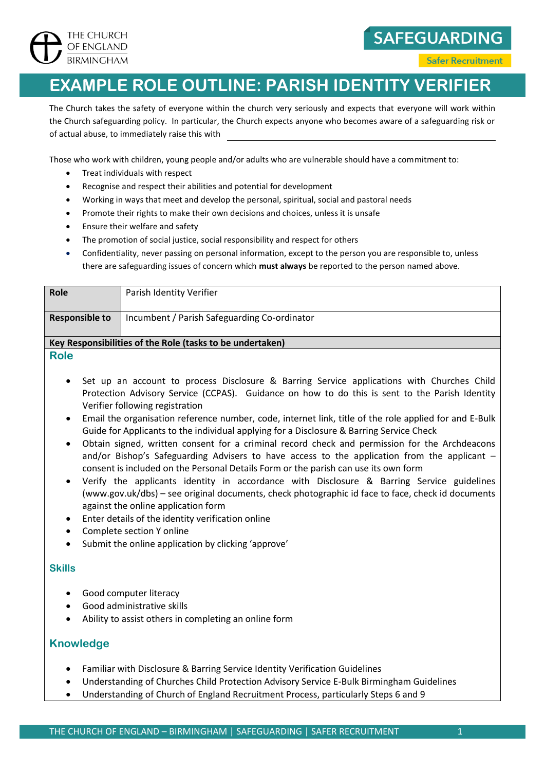

## **EXAMPLE ROLE OUTLINE: PARISH IDENTITY VERIFIER**

The Church takes the safety of everyone within the church very seriously and expects that everyone will work within the Church safeguarding policy. In particular, the Church expects anyone who becomes aware of a safeguarding risk or of actual abuse, to immediately raise this with

Those who work with children, young people and/or adults who are vulnerable should have a commitment to:

- Treat individuals with respect
- Recognise and respect their abilities and potential for development
- Working in ways that meet and develop the personal, spiritual, social and pastoral needs
- Promote their rights to make their own decisions and choices, unless it is unsafe
- Ensure their welfare and safety
- The promotion of social justice, social responsibility and respect for others
- Confidentiality, never passing on personal information, except to the person you are responsible to, unless there are safeguarding issues of concern which **must always** be reported to the person named above.

| Role                                                      | Parish Identity Verifier                     |
|-----------------------------------------------------------|----------------------------------------------|
| <b>Responsible to</b>                                     | Incumbent / Parish Safeguarding Co-ordinator |
|                                                           |                                              |
| Key Responsibilities of the Role (tasks to be undertaken) |                                              |
| <b>Role</b>                                               |                                              |

- - Set up an account to process Disclosure & Barring Service applications with Churches Child Protection Advisory Service (CCPAS). Guidance on how to do this is sent to the Parish Identity Verifier following registration
	- Email the organisation reference number, code, internet link, title of the role applied for and E-Bulk Guide for Applicants to the individual applying for a Disclosure & Barring Service Check
	- Obtain signed, written consent for a criminal record check and permission for the Archdeacons and/or Bishop's Safeguarding Advisers to have access to the application from the applicant consent is included on the Personal Details Form or the parish can use its own form
	- Verify the applicants identity in accordance with Disclosure & Barring Service guidelines [\(www.gov.uk/dbs\)](http://www.gov.uk/dbs) – see original documents, check photographic id face to face, check id documents against the online application form
	- Enter details of the identity verification online
- Complete section Y online
- Submit the online application by clicking 'approve'

## **Skills**

- Good computer literacy
- Good administrative skills
- Ability to assist others in completing an online form

## **Knowledge**

- Familiar with Disclosure & Barring Service Identity Verification Guidelines
- Understanding of Churches Child Protection Advisory Service E-Bulk Birmingham Guidelines
- Understanding of Church of England Recruitment Process, particularly Steps 6 and 9